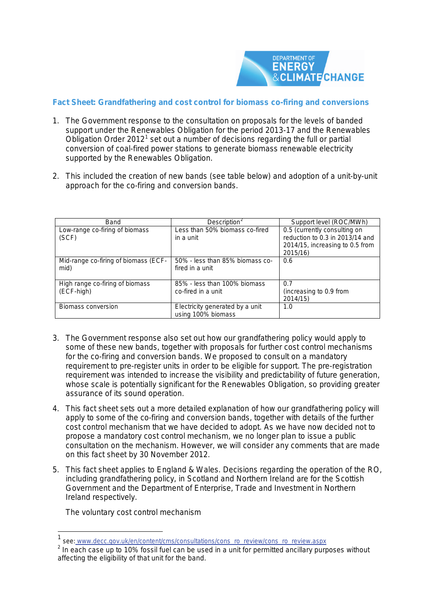

# **Fact Sheet: Grandfathering and cost control for biomass co-firing and conversions**

- 1. The *Government response to the consultation on proposals for the levels of banded support under the Renewables Obligation for the period 2013-17 and the Renewables Obligation Order 2012*[1](#page-0-0) set out a number of decisions regarding the full or partial conversion of coal-fired power stations to generate biomass renewable electricity supported by the Renewables Obligation.
- 2. This included the creation of new bands (see table below) and adoption of a unit-by-unit approach for the co-firing and conversion bands.

| Band                                          | Description <sup>2</sup>                              | Support level (ROC/MWh)                                                                                        |
|-----------------------------------------------|-------------------------------------------------------|----------------------------------------------------------------------------------------------------------------|
| Low-range co-firing of biomass<br>(SCF)       | Less than 50% biomass co-fired<br>in a unit           | 0.5 (currently consulting on<br>reduction to 0.3 in 2013/14 and<br>2014/15, increasing to 0.5 from<br>2015/16) |
| Mid-range co-firing of biomass (ECF-<br>mid)  | 50% - less than 85% biomass co-<br>fired in a unit    | 0.6                                                                                                            |
| High range co-firing of biomass<br>(ECF-high) | 85% - less than 100% biomass<br>co-fired in a unit    | 0.7<br>(increasing to 0.9 from<br>2014/15                                                                      |
| Biomass conversion                            | Electricity generated by a unit<br>using 100% biomass | 1.0                                                                                                            |

- 3. The Government response also set out how our grandfathering policy would apply to some of these new bands, together with proposals for further cost control mechanisms for the co-firing and conversion bands. We proposed to consult on a mandatory requirement to pre-register units in order to be eligible for support. The pre-registration requirement was intended to increase the visibility and predictability of future generation, whose scale is potentially significant for the Renewables Obligation, so providing greater assurance of its sound operation.
- 4. This fact sheet sets out a more detailed explanation of how our grandfathering policy will apply to some of the co-firing and conversion bands, together with details of the further cost control mechanism that we have decided to adopt. As we have now decided not to propose a mandatory cost control mechanism, we no longer plan to issue a public consultation on the mechanism. However, we will consider any comments that are made on this fact sheet by 30 November 2012.
- 5. This fact sheet applies to England & Wales. Decisions regarding the operation of the RO, including grandfathering policy, in Scotland and Northern Ireland are for the Scottish Government and the Department of Enterprise, Trade and Investment in Northern Ireland respectively.

*The voluntary cost control mechanism*

 $\frac{1}{1}$ see: www.decc.gov.uk/en/content/cms/consultations/cons\_ro\_review/cons\_ro\_review.aspx

<span id="page-0-1"></span><span id="page-0-0"></span><sup>&</sup>lt;sup>2</sup> In each case up to 10% fossil fuel can be used in a unit for permitted ancillary purposes without affecting the eligibility of that unit for the band.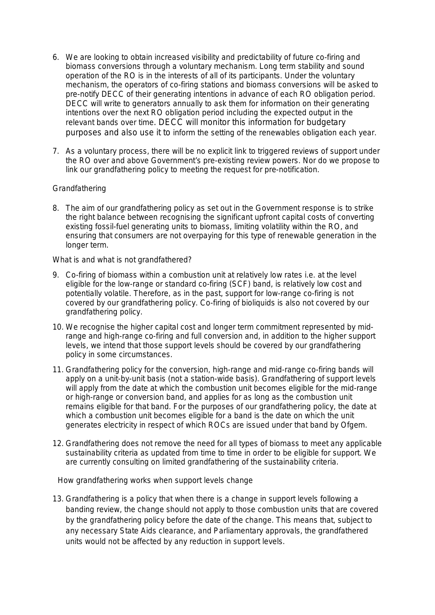- 6. We are looking to obtain increased visibility and predictability of future co-firing and biomass conversions through a voluntary mechanism. Long term stability and sound operation of the RO is in the interests of all of its participants. Under the voluntary mechanism, the operators of co-firing stations and biomass conversions will be asked to pre-notify DECC of their generating intentions in advance of each RO obligation period. DECC will write to generators annually to ask them for information on their generating intentions over the next RO obligation period including the expected output in the relevant bands over time. DECC will monitor this information for budgetary purposes and also use it to inform the setting of the renewables obligation each year.
- 7. As a voluntary process, there will be no explicit link to triggered reviews of support under the RO over and above Government's pre-existing review powers. Nor do we propose to link our grandfathering policy to meeting the request for pre-notification.

## *Grandfathering*

8. The aim of our grandfathering policy as set out in the Government response is to strike the right balance between recognising the significant upfront capital costs of converting existing fossil-fuel generating units to biomass, limiting volatility within the RO, and ensuring that consumers are not overpaying for this type of renewable generation in the longer term.

### *What is and what is not grandfathered?*

- 9. Co-firing of biomass within a combustion unit at relatively low rates i.e. at the level eligible for the low-range or standard co-firing (SCF) band, is relatively low cost and potentially volatile. Therefore, as in the past, support for low-range co-firing is not covered by our grandfathering policy. Co-firing of bioliquids is also not covered by our grandfathering policy.
- 10. We recognise the higher capital cost and longer term commitment represented by midrange and high-range co-firing and full conversion and, in addition to the higher support levels, we intend that those support levels should be covered by our grandfathering policy in some circumstances.
- 11. Grandfathering policy for the conversion, high-range and mid-range co-firing bands will apply on a unit-by-unit basis (not a station-wide basis). Grandfathering of support levels will apply from the date at which the combustion unit becomes eligible for the mid-range or high-range or conversion band, and applies for as long as the combustion unit remains eligible for that band. For the purposes of our grandfathering policy, the date at which a combustion unit becomes eligible for a band is the date on which the unit generates electricity in respect of which ROCs are issued under that band by Ofgem.
- 12. Grandfathering does not remove the need for all types of biomass to meet any applicable sustainability criteria as updated from time to time in order to be eligible for support. We are currently consulting on limited grandfathering of the sustainability criteria.

## *How grandfathering works when support levels change*

13. Grandfathering is a policy that when there is a change in support levels following a banding review, the change should not apply to those combustion units that are covered by the grandfathering policy before the date of the change. This means that, subject to any necessary State Aids clearance, and Parliamentary approvals, the grandfathered units would not be affected by any reduction in support levels.